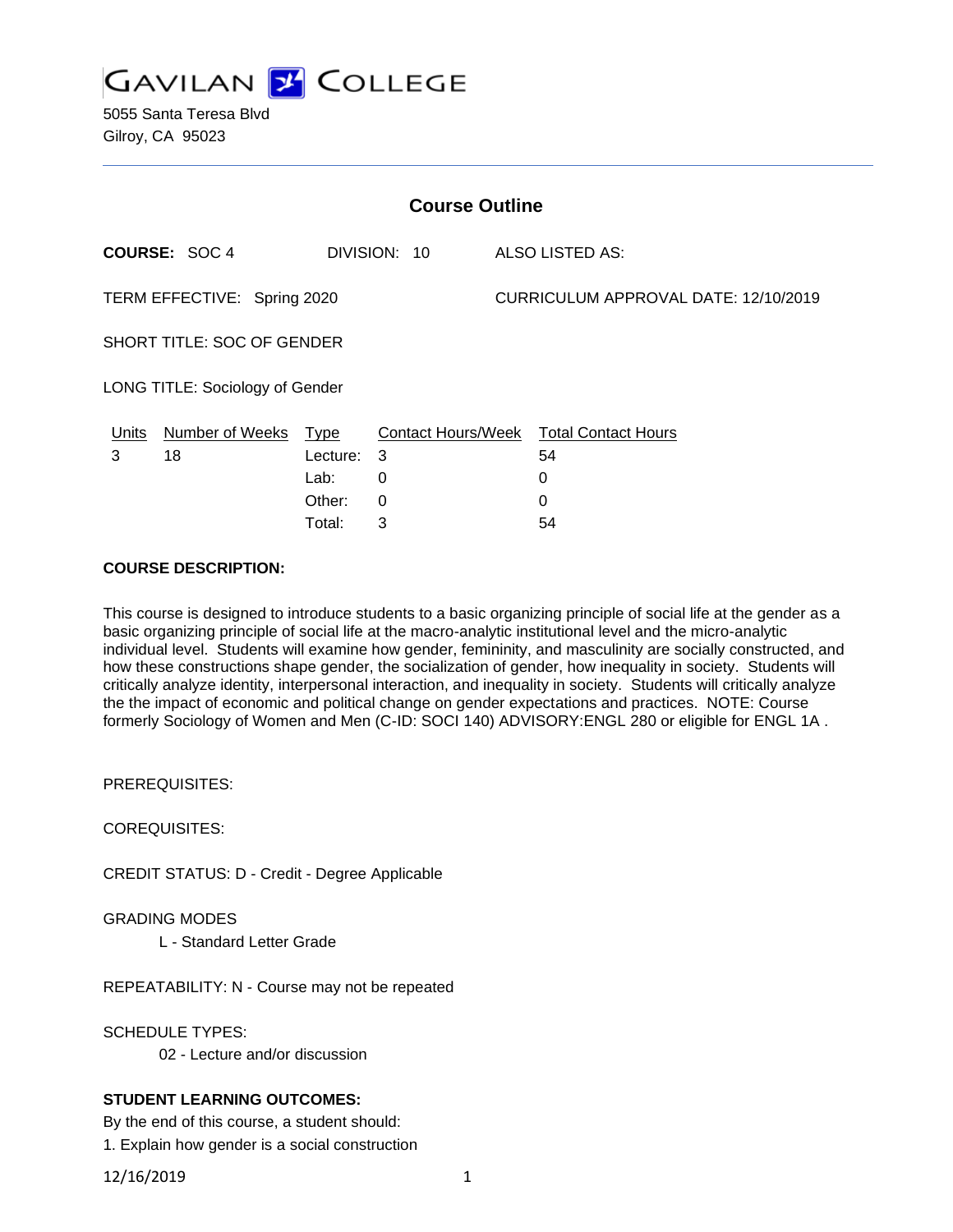

5055 Santa Teresa Blvd Gilroy, CA 95023

| <b>Course Outline</b>                  |                                      |          |                 |  |                                        |
|----------------------------------------|--------------------------------------|----------|-----------------|--|----------------------------------------|
|                                        | <b>COURSE: SOC 4</b><br>DIVISION: 10 |          | ALSO LISTED AS: |  |                                        |
| TERM EFFECTIVE: Spring 2020            |                                      |          |                 |  | CURRICULUM APPROVAL DATE: 12/10/2019   |
| <b>SHORT TITLE: SOC OF GENDER</b>      |                                      |          |                 |  |                                        |
| <b>LONG TITLE: Sociology of Gender</b> |                                      |          |                 |  |                                        |
| Units                                  | Number of Weeks Type                 |          |                 |  | Contact Hours/Week Total Contact Hours |
| 3                                      | 18                                   | Lecture: | 3               |  | 54                                     |
|                                        |                                      | Lab:     | 0               |  | 0                                      |
|                                        |                                      | Other:   | 0               |  | 0                                      |
|                                        |                                      | Total:   | 3               |  | 54                                     |

#### **COURSE DESCRIPTION:**

This course is designed to introduce students to a basic organizing principle of social life at the gender as a basic organizing principle of social life at the macro-analytic institutional level and the micro-analytic individual level. Students will examine how gender, femininity, and masculinity are socially constructed, and how these constructions shape gender, the socialization of gender, how inequality in society. Students will critically analyze identity, interpersonal interaction, and inequality in society. Students will critically analyze the the impact of economic and political change on gender expectations and practices. NOTE: Course formerly Sociology of Women and Men (C-ID: SOCI 140) ADVISORY:ENGL 280 or eligible for ENGL 1A .

PREREQUISITES:

COREQUISITES:

CREDIT STATUS: D - Credit - Degree Applicable

GRADING MODES

L - Standard Letter Grade

REPEATABILITY: N - Course may not be repeated

SCHEDULE TYPES:

02 - Lecture and/or discussion

#### **STUDENT LEARNING OUTCOMES:**

By the end of this course, a student should:

1. Explain how gender is a social construction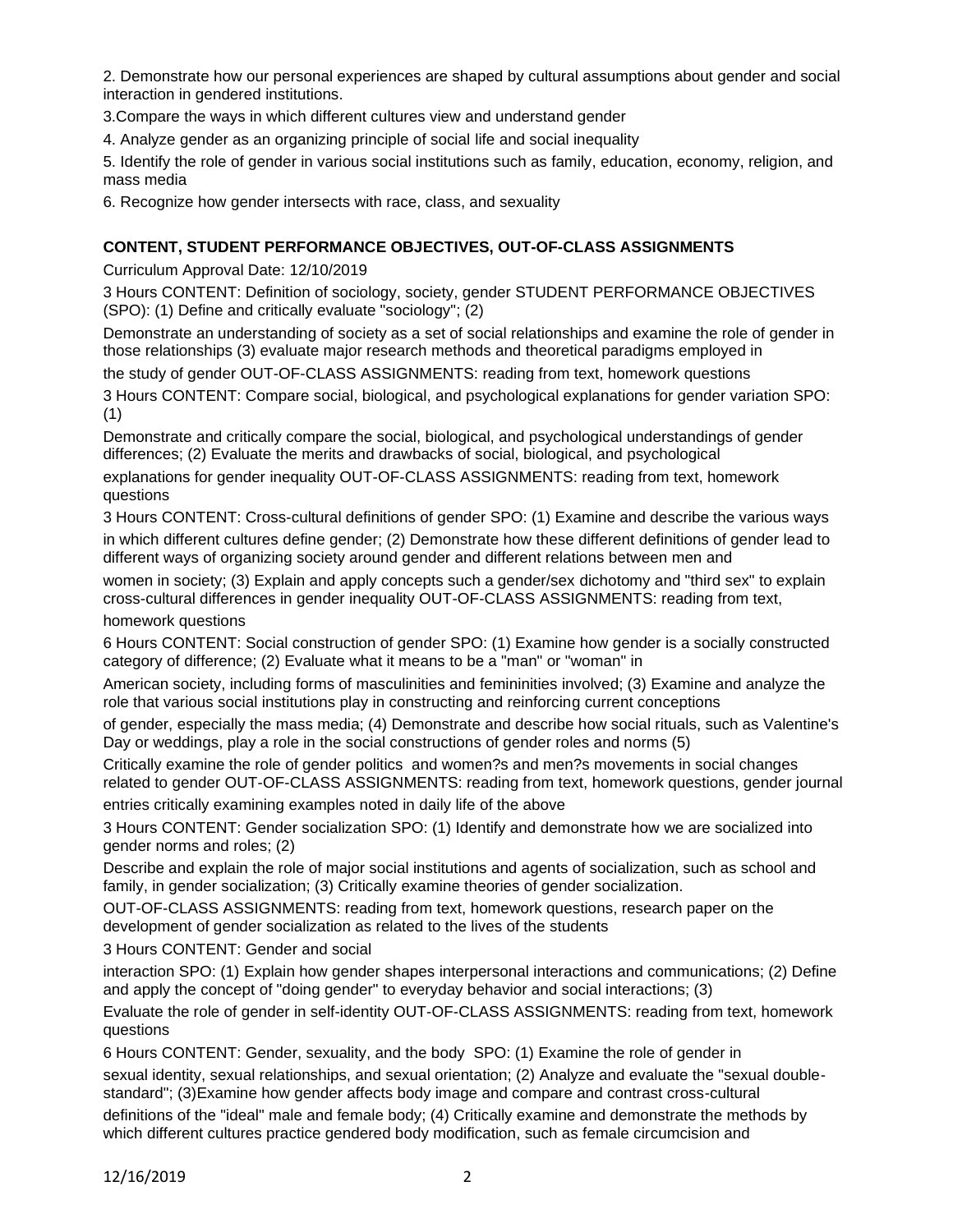2. Demonstrate how our personal experiences are shaped by cultural assumptions about gender and social interaction in gendered institutions.

3.Compare the ways in which different cultures view and understand gender

4. Analyze gender as an organizing principle of social life and social inequality

5. Identify the role of gender in various social institutions such as family, education, economy, religion, and mass media

6. Recognize how gender intersects with race, class, and sexuality

# **CONTENT, STUDENT PERFORMANCE OBJECTIVES, OUT-OF-CLASS ASSIGNMENTS**

Curriculum Approval Date: 12/10/2019

3 Hours CONTENT: Definition of sociology, society, gender STUDENT PERFORMANCE OBJECTIVES (SPO): (1) Define and critically evaluate "sociology"; (2)

Demonstrate an understanding of society as a set of social relationships and examine the role of gender in those relationships (3) evaluate major research methods and theoretical paradigms employed in

the study of gender OUT-OF-CLASS ASSIGNMENTS: reading from text, homework questions

3 Hours CONTENT: Compare social, biological, and psychological explanations for gender variation SPO: (1)

Demonstrate and critically compare the social, biological, and psychological understandings of gender differences; (2) Evaluate the merits and drawbacks of social, biological, and psychological

explanations for gender inequality OUT-OF-CLASS ASSIGNMENTS: reading from text, homework questions

3 Hours CONTENT: Cross-cultural definitions of gender SPO: (1) Examine and describe the various ways in which different cultures define gender; (2) Demonstrate how these different definitions of gender lead to different ways of organizing society around gender and different relations between men and

women in society; (3) Explain and apply concepts such a gender/sex dichotomy and "third sex" to explain cross-cultural differences in gender inequality OUT-OF-CLASS ASSIGNMENTS: reading from text, homework questions

6 Hours CONTENT: Social construction of gender SPO: (1) Examine how gender is a socially constructed category of difference; (2) Evaluate what it means to be a "man" or "woman" in

American society, including forms of masculinities and femininities involved; (3) Examine and analyze the role that various social institutions play in constructing and reinforcing current conceptions

of gender, especially the mass media; (4) Demonstrate and describe how social rituals, such as Valentine's Day or weddings, play a role in the social constructions of gender roles and norms (5)

Critically examine the role of gender politics and women?s and men?s movements in social changes related to gender OUT-OF-CLASS ASSIGNMENTS: reading from text, homework questions, gender journal

entries critically examining examples noted in daily life of the above

3 Hours CONTENT: Gender socialization SPO: (1) Identify and demonstrate how we are socialized into gender norms and roles; (2)

Describe and explain the role of major social institutions and agents of socialization, such as school and family, in gender socialization; (3) Critically examine theories of gender socialization.

OUT-OF-CLASS ASSIGNMENTS: reading from text, homework questions, research paper on the development of gender socialization as related to the lives of the students

3 Hours CONTENT: Gender and social

interaction SPO: (1) Explain how gender shapes interpersonal interactions and communications; (2) Define and apply the concept of "doing gender" to everyday behavior and social interactions; (3)

Evaluate the role of gender in self-identity OUT-OF-CLASS ASSIGNMENTS: reading from text, homework questions

6 Hours CONTENT: Gender, sexuality, and the body SPO: (1) Examine the role of gender in

sexual identity, sexual relationships, and sexual orientation; (2) Analyze and evaluate the "sexual doublestandard"; (3)Examine how gender affects body image and compare and contrast cross-cultural

definitions of the "ideal" male and female body; (4) Critically examine and demonstrate the methods by which different cultures practice gendered body modification, such as female circumcision and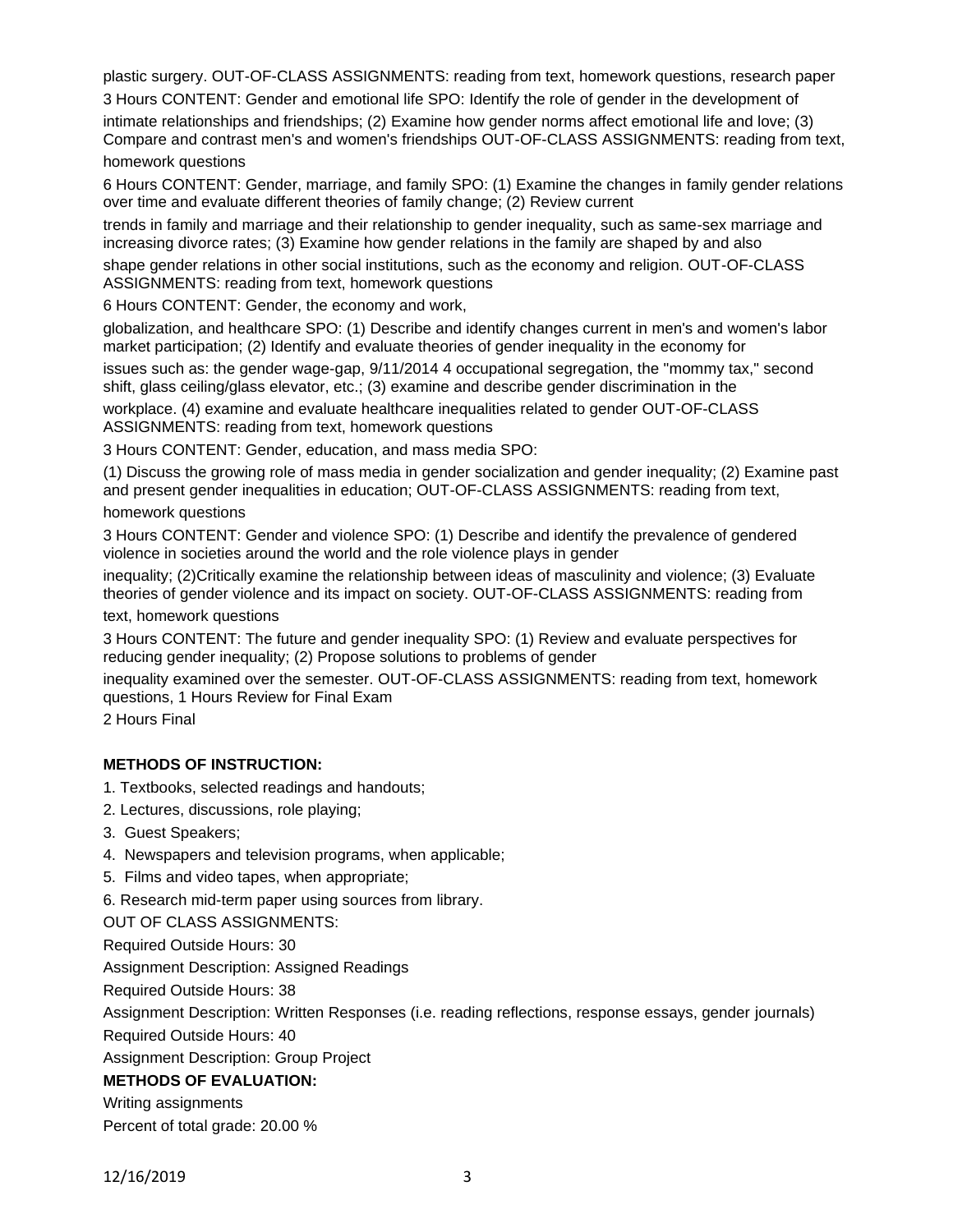plastic surgery. OUT-OF-CLASS ASSIGNMENTS: reading from text, homework questions, research paper 3 Hours CONTENT: Gender and emotional life SPO: Identify the role of gender in the development of

intimate relationships and friendships; (2) Examine how gender norms affect emotional life and love; (3) Compare and contrast men's and women's friendships OUT-OF-CLASS ASSIGNMENTS: reading from text, homework questions

6 Hours CONTENT: Gender, marriage, and family SPO: (1) Examine the changes in family gender relations over time and evaluate different theories of family change; (2) Review current

trends in family and marriage and their relationship to gender inequality, such as same-sex marriage and increasing divorce rates; (3) Examine how gender relations in the family are shaped by and also

shape gender relations in other social institutions, such as the economy and religion. OUT-OF-CLASS ASSIGNMENTS: reading from text, homework questions

6 Hours CONTENT: Gender, the economy and work,

globalization, and healthcare SPO: (1) Describe and identify changes current in men's and women's labor market participation; (2) Identify and evaluate theories of gender inequality in the economy for

issues such as: the gender wage-gap, 9/11/2014 4 occupational segregation, the "mommy tax," second shift, glass ceiling/glass elevator, etc.; (3) examine and describe gender discrimination in the

workplace. (4) examine and evaluate healthcare inequalities related to gender OUT-OF-CLASS ASSIGNMENTS: reading from text, homework questions

3 Hours CONTENT: Gender, education, and mass media SPO:

(1) Discuss the growing role of mass media in gender socialization and gender inequality; (2) Examine past and present gender inequalities in education; OUT-OF-CLASS ASSIGNMENTS: reading from text, homework questions

3 Hours CONTENT: Gender and violence SPO: (1) Describe and identify the prevalence of gendered violence in societies around the world and the role violence plays in gender

inequality; (2)Critically examine the relationship between ideas of masculinity and violence; (3) Evaluate theories of gender violence and its impact on society. OUT-OF-CLASS ASSIGNMENTS: reading from text, homework questions

3 Hours CONTENT: The future and gender inequality SPO: (1) Review and evaluate perspectives for reducing gender inequality; (2) Propose solutions to problems of gender

inequality examined over the semester. OUT-OF-CLASS ASSIGNMENTS: reading from text, homework questions, 1 Hours Review for Final Exam

2 Hours Final

# **METHODS OF INSTRUCTION:**

- 1. Textbooks, selected readings and handouts;
- 2. Lectures, discussions, role playing;
- 3. Guest Speakers;
- 4. Newspapers and television programs, when applicable;
- 5. Films and video tapes, when appropriate;

6. Research mid-term paper using sources from library.

OUT OF CLASS ASSIGNMENTS:

Required Outside Hours: 30

Assignment Description: Assigned Readings

Required Outside Hours: 38

Assignment Description: Written Responses (i.e. reading reflections, response essays, gender journals)

Required Outside Hours: 40

Assignment Description: Group Project

# **METHODS OF EVALUATION:**

Writing assignments Percent of total grade: 20.00 %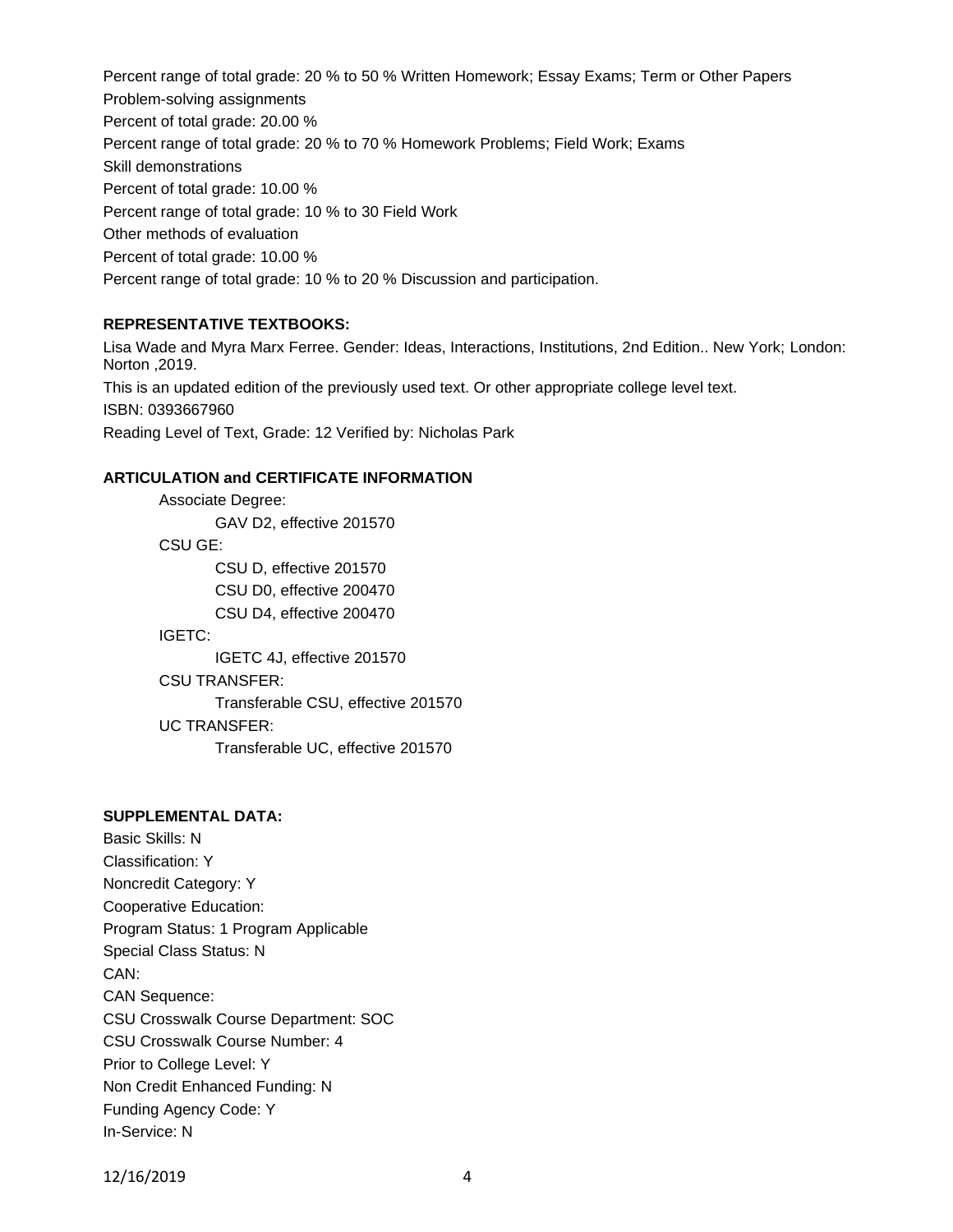Percent range of total grade: 20 % to 50 % Written Homework; Essay Exams; Term or Other Papers Problem-solving assignments Percent of total grade: 20.00 % Percent range of total grade: 20 % to 70 % Homework Problems; Field Work; Exams Skill demonstrations Percent of total grade: 10.00 % Percent range of total grade: 10 % to 30 Field Work Other methods of evaluation Percent of total grade: 10.00 % Percent range of total grade: 10 % to 20 % Discussion and participation.

#### **REPRESENTATIVE TEXTBOOKS:**

Lisa Wade and Myra Marx Ferree. Gender: Ideas, Interactions, Institutions, 2nd Edition.. New York; London: Norton ,2019. This is an updated edition of the previously used text. Or other appropriate college level text. ISBN: 0393667960 Reading Level of Text, Grade: 12 Verified by: Nicholas Park

#### **ARTICULATION and CERTIFICATE INFORMATION**

Associate Degree: GAV D2, effective 201570 CSU GE: CSU D, effective 201570 CSU D0, effective 200470 CSU D4, effective 200470 IGETC: IGETC 4J, effective 201570 CSU TRANSFER: Transferable CSU, effective 201570 UC TRANSFER: Transferable UC, effective 201570

# **SUPPLEMENTAL DATA:**

Basic Skills: N Classification: Y Noncredit Category: Y Cooperative Education: Program Status: 1 Program Applicable Special Class Status: N CAN: CAN Sequence: CSU Crosswalk Course Department: SOC CSU Crosswalk Course Number: 4 Prior to College Level: Y Non Credit Enhanced Funding: N Funding Agency Code: Y In-Service: N

12/16/2019 4